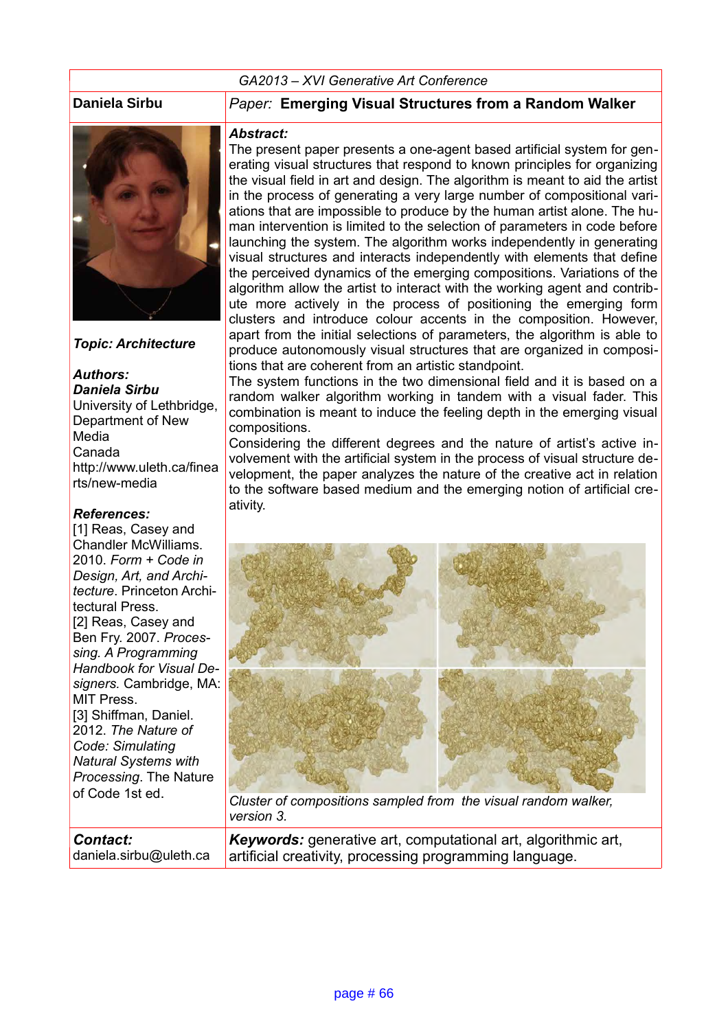#### *GA2013 – XVI Generative Art Conference*



*Topic: Architecture*

*Authors: Daniela Sirbu* University of Lethbridge, Department of New Media Canada http://www.uleth.ca/finea rts/new-media

#### *References:*

[1] Reas, Casev and Chandler McWilliams. 2010. *Form + Code in Design, Art, and Architecture*. Princeton Architectural Press. [2] Reas, Casey and Ben Fry. 2007. *Processing. A Programming Handbook for Visual Designers.* Cambridge, MA: MIT Press. [3] Shiffman, Daniel. 2012. *The Nature of Code: Simulating Natural Systems with Processing*. The Nature of Code 1st ed.

**Daniela Sirbu** *Paper:* **Emerging Visual Structures from a Random Walker**

#### *Abstract:*

The present paper presents a one-agent based artificial system for generating visual structures that respond to known principles for organizing the visual field in art and design. The algorithm is meant to aid the artist in the process of generating a very large number of compositional variations that are impossible to produce by the human artist alone. The human intervention is limited to the selection of parameters in code before launching the system. The algorithm works independently in generating visual structures and interacts independently with elements that define the perceived dynamics of the emerging compositions. Variations of the algorithm allow the artist to interact with the working agent and contribute more actively in the process of positioning the emerging form clusters and introduce colour accents in the composition. However, apart from the initial selections of parameters, the algorithm is able to produce autonomously visual structures that are organized in compositions that are coherent from an artistic standpoint.

The system functions in the two dimensional field and it is based on a random walker algorithm working in tandem with a visual fader. This combination is meant to induce the feeling depth in the emerging visual compositions.

Considering the different degrees and the nature of artist's active involvement with the artificial system in the process of visual structure development, the paper analyzes the nature of the creative act in relation to the software based medium and the emerging notion of artificial creativity.



*Cluster of compositions sampled from the visual random walker, version 3.*

*Contact:* daniela.sirbu@uleth.ca *Keywords:* generative art, computational art, algorithmic art, artificial creativity, processing programming language.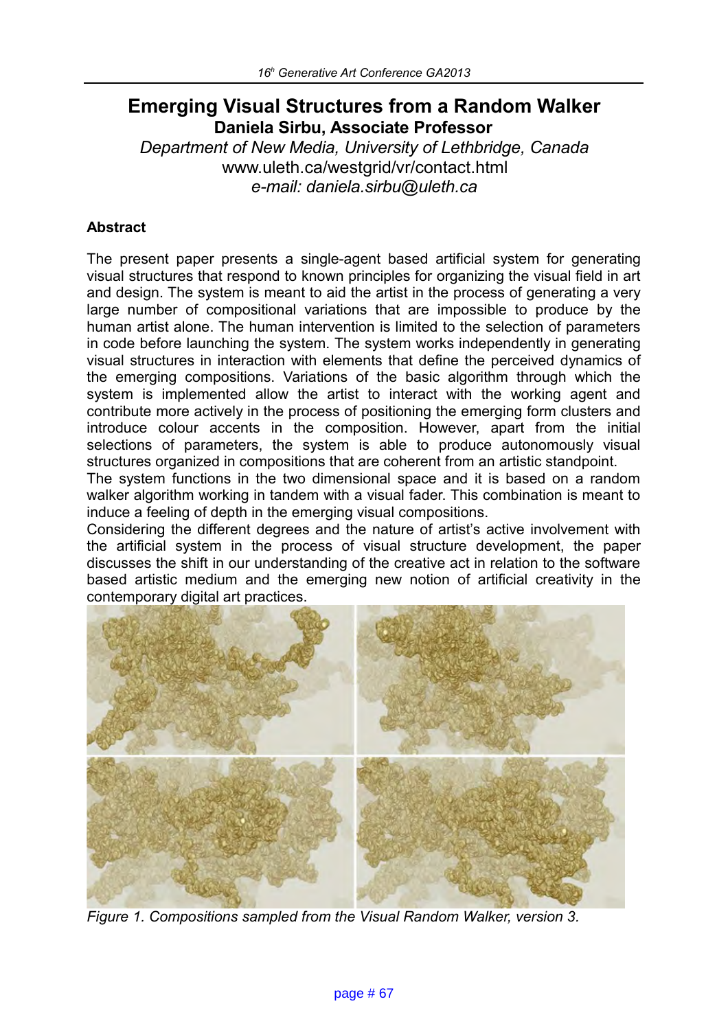# **Emerging Visual Structures from a Random Walker Daniela Sirbu, Associate Professor**

*Department of New Media, University of Lethbridge, Canada* www.uleth.ca/westgrid/vr/contact.html *e-mail: daniela.sirbu@uleth.ca*

# **Abstract**

The present paper presents a single-agent based artificial system for generating visual structures that respond to known principles for organizing the visual field in art and design. The system is meant to aid the artist in the process of generating a very large number of compositional variations that are impossible to produce by the human artist alone. The human intervention is limited to the selection of parameters in code before launching the system. The system works independently in generating visual structures in interaction with elements that define the perceived dynamics of the emerging compositions. Variations of the basic algorithm through which the system is implemented allow the artist to interact with the working agent and contribute more actively in the process of positioning the emerging form clusters and introduce colour accents in the composition. However, apart from the initial selections of parameters, the system is able to produce autonomously visual structures organized in compositions that are coherent from an artistic standpoint.

The system functions in the two dimensional space and it is based on a random walker algorithm working in tandem with a visual fader. This combination is meant to induce a feeling of depth in the emerging visual compositions.

Considering the different degrees and the nature of artist's active involvement with the artificial system in the process of visual structure development, the paper discusses the shift in our understanding of the creative act in relation to the software based artistic medium and the emerging new notion of artificial creativity in the contemporary digital art practices.



*Figure 1. Compositions sampled from the Visual Random Walker, version 3.*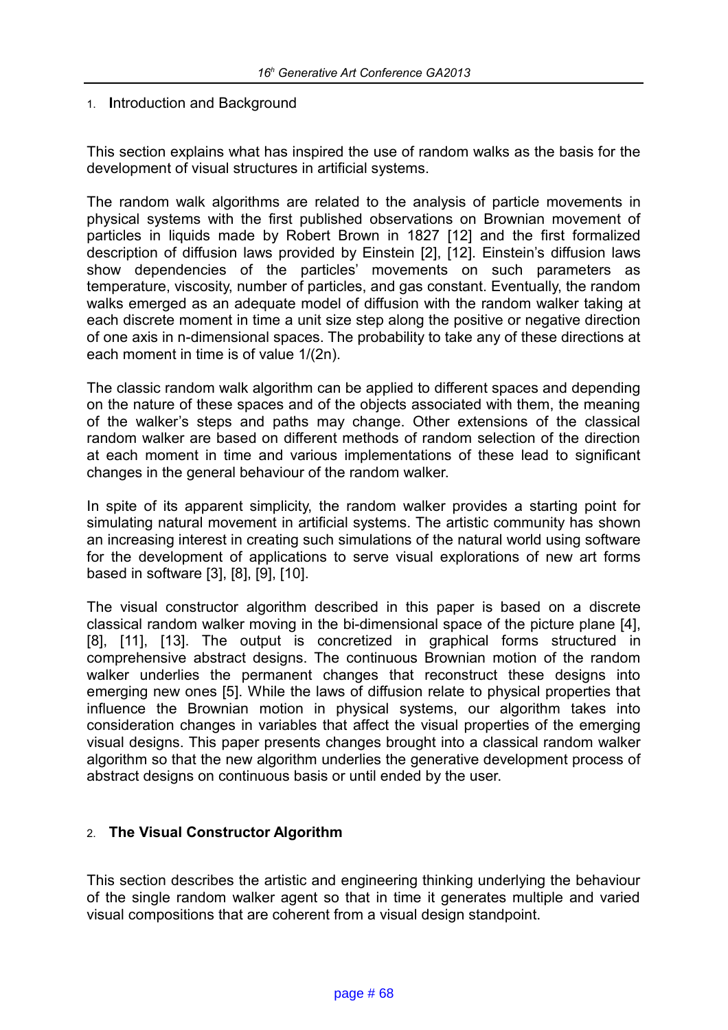## 1. **I**ntroduction and Background

This section explains what has inspired the use of random walks as the basis for the development of visual structures in artificial systems.

The random walk algorithms are related to the analysis of particle movements in physical systems with the first published observations on Brownian movement of particles in liquids made by Robert Brown in 1827 [12] and the first formalized description of diffusion laws provided by Einstein [2], [12]. Einstein's diffusion laws show dependencies of the particles' movements on such parameters as temperature, viscosity, number of particles, and gas constant. Eventually, the random walks emerged as an adequate model of diffusion with the random walker taking at each discrete moment in time a unit size step along the positive or negative direction of one axis in n-dimensional spaces. The probability to take any of these directions at each moment in time is of value 1/(2n).

The classic random walk algorithm can be applied to different spaces and depending on the nature of these spaces and of the objects associated with them, the meaning of the walker's steps and paths may change. Other extensions of the classical random walker are based on different methods of random selection of the direction at each moment in time and various implementations of these lead to significant changes in the general behaviour of the random walker.

In spite of its apparent simplicity, the random walker provides a starting point for simulating natural movement in artificial systems. The artistic community has shown an increasing interest in creating such simulations of the natural world using software for the development of applications to serve visual explorations of new art forms based in software [3], [8], [9], [10].

The visual constructor algorithm described in this paper is based on a discrete classical random walker moving in the bi-dimensional space of the picture plane [4], [8], [11], [13]. The output is concretized in graphical forms structured in comprehensive abstract designs. The continuous Brownian motion of the random walker underlies the permanent changes that reconstruct these designs into emerging new ones [5]. While the laws of diffusion relate to physical properties that influence the Brownian motion in physical systems, our algorithm takes into consideration changes in variables that affect the visual properties of the emerging visual designs. This paper presents changes brought into a classical random walker algorithm so that the new algorithm underlies the generative development process of abstract designs on continuous basis or until ended by the user.

# 2. **The Visual Constructor Algorithm**

This section describes the artistic and engineering thinking underlying the behaviour of the single random walker agent so that in time it generates multiple and varied visual compositions that are coherent from a visual design standpoint.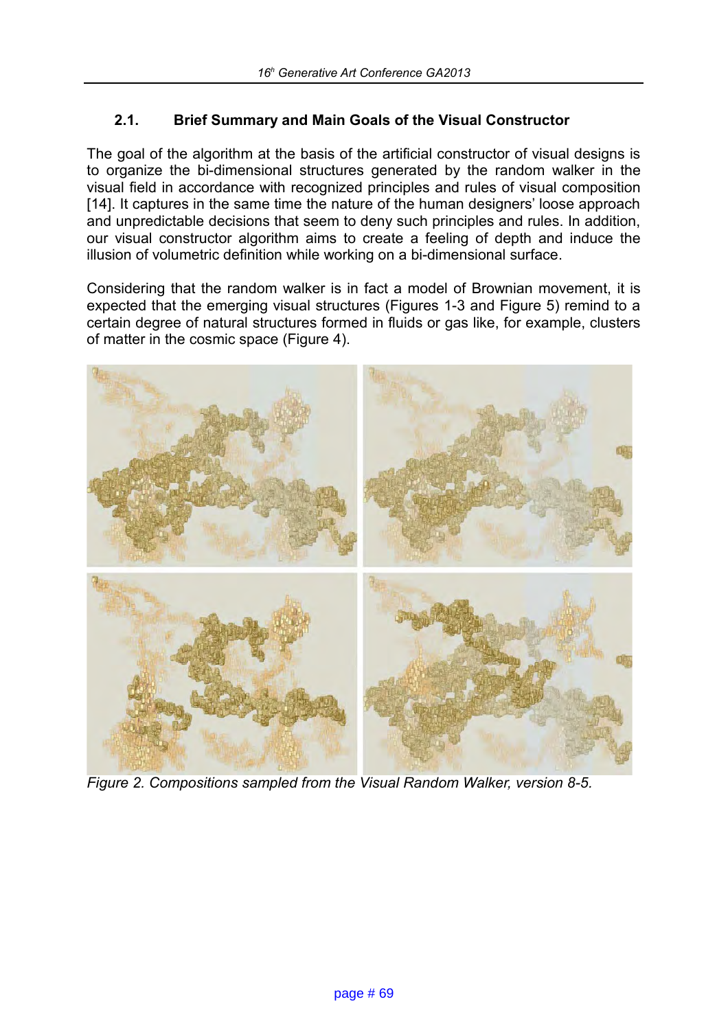# **2.1. Brief Summary and Main Goals of the Visual Constructor**

The goal of the algorithm at the basis of the artificial constructor of visual designs is to organize the bi-dimensional structures generated by the random walker in the visual field in accordance with recognized principles and rules of visual composition [14]. It captures in the same time the nature of the human designers' loose approach and unpredictable decisions that seem to deny such principles and rules. In addition, our visual constructor algorithm aims to create a feeling of depth and induce the illusion of volumetric definition while working on a bi-dimensional surface.

Considering that the random walker is in fact a model of Brownian movement, it is expected that the emerging visual structures (Figures 1-3 and Figure 5) remind to a certain degree of natural structures formed in fluids or gas like, for example, clusters of matter in the cosmic space (Figure 4).



*Figure 2. Compositions sampled from the Visual Random Walker, version 8-5.*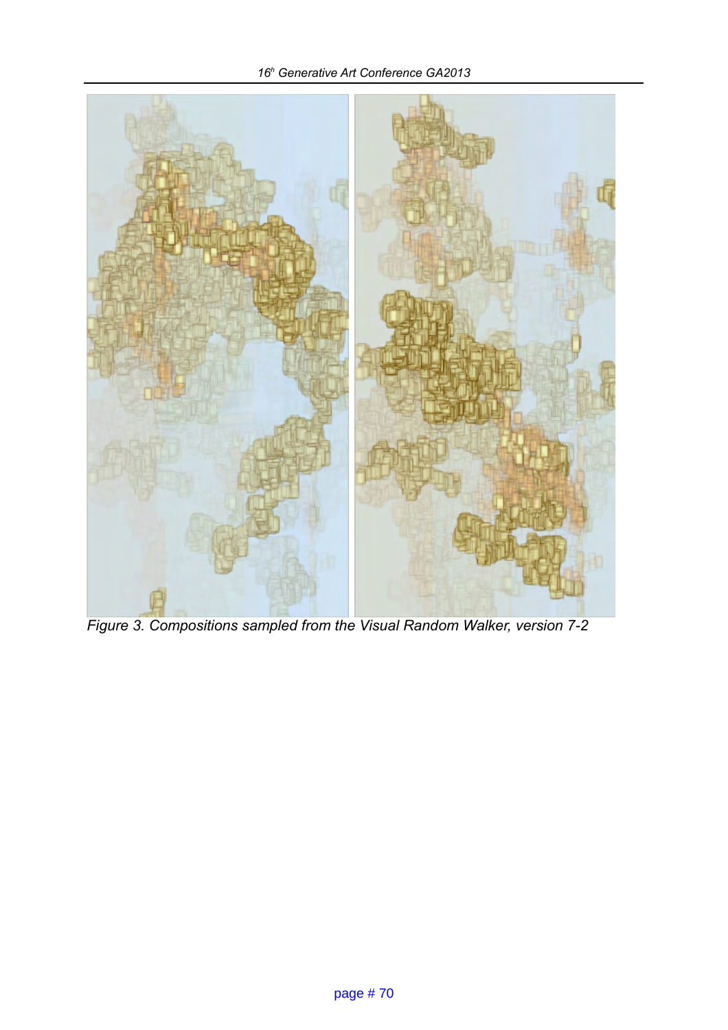*16<sup>h</sup> Generative Art Conference GA2013*



*Figure 3. Compositions sampled from the Visual Random Walker, version 7-2*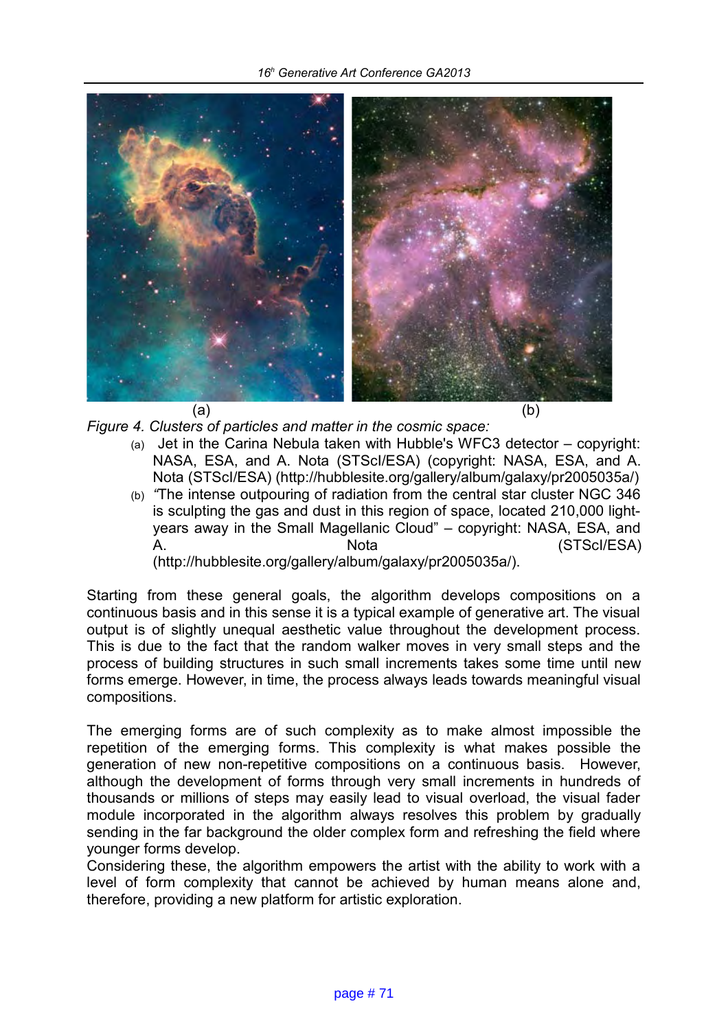

- *Figure 4. Clusters of particles and matter in the cosmic space:*
	- $(a)$  Jet in the Carina Nebula taken with Hubble's WFC3 detector copyright: NASA, ESA, and A. Nota (STScI/ESA) (copyright: NASA, ESA, and A. Nota (STScI/ESA) (http://hubblesite.org/gallery/album/galaxy/pr2005035a/)
	- (b) *"*The intense outpouring of radiation from the central star cluster NGC 346 is sculpting the gas and dust in this region of space, located 210,000 lightyears away in the Small Magellanic Cloud" – copyright: NASA, ESA, and A. Nota (STScI/ESA) (http://hubblesite.org/gallery/album/galaxy/pr2005035a/).

Starting from these general goals, the algorithm develops compositions on a continuous basis and in this sense it is a typical example of generative art. The visual output is of slightly unequal aesthetic value throughout the development process. This is due to the fact that the random walker moves in very small steps and the process of building structures in such small increments takes some time until new forms emerge. However, in time, the process always leads towards meaningful visual compositions.

The emerging forms are of such complexity as to make almost impossible the repetition of the emerging forms. This complexity is what makes possible the generation of new non-repetitive compositions on a continuous basis. However, although the development of forms through very small increments in hundreds of thousands or millions of steps may easily lead to visual overload, the visual fader module incorporated in the algorithm always resolves this problem by gradually sending in the far background the older complex form and refreshing the field where younger forms develop.

Considering these, the algorithm empowers the artist with the ability to work with a level of form complexity that cannot be achieved by human means alone and, therefore, providing a new platform for artistic exploration.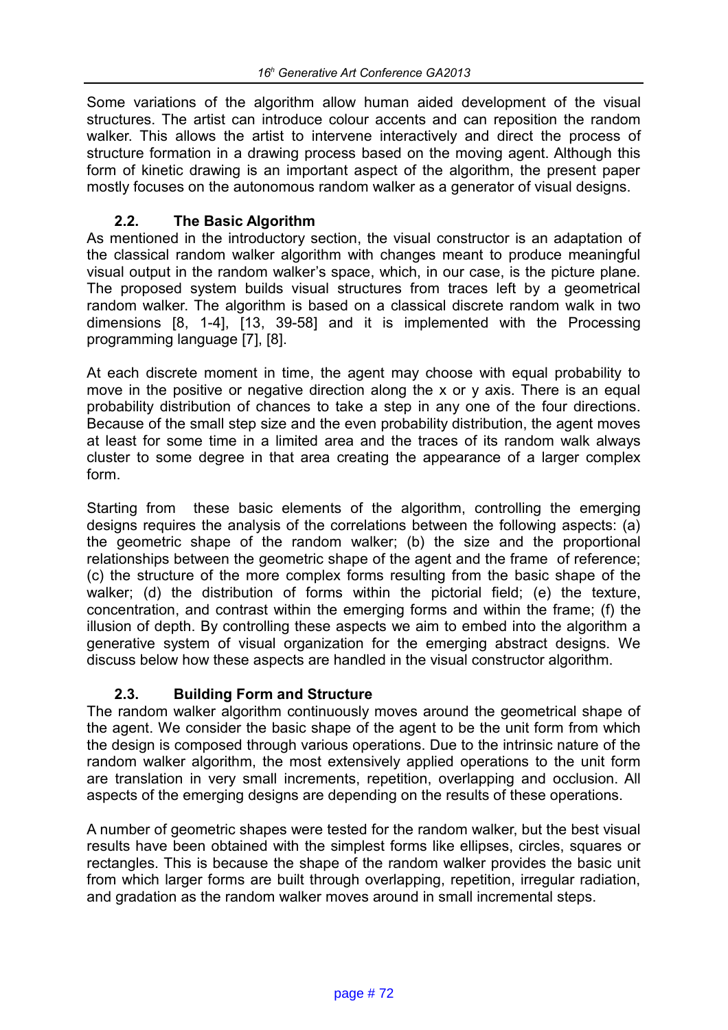Some variations of the algorithm allow human aided development of the visual structures. The artist can introduce colour accents and can reposition the random walker. This allows the artist to intervene interactively and direct the process of structure formation in a drawing process based on the moving agent. Although this form of kinetic drawing is an important aspect of the algorithm, the present paper mostly focuses on the autonomous random walker as a generator of visual designs.

# **2.2. The Basic Algorithm**

As mentioned in the introductory section, the visual constructor is an adaptation of the classical random walker algorithm with changes meant to produce meaningful visual output in the random walker's space, which, in our case, is the picture plane. The proposed system builds visual structures from traces left by a geometrical random walker. The algorithm is based on a classical discrete random walk in two dimensions [8, 1-4], [13, 39-58] and it is implemented with the Processing programming language [7], [8].

At each discrete moment in time, the agent may choose with equal probability to move in the positive or negative direction along the x or y axis. There is an equal probability distribution of chances to take a step in any one of the four directions. Because of the small step size and the even probability distribution, the agent moves at least for some time in a limited area and the traces of its random walk always cluster to some degree in that area creating the appearance of a larger complex form.

Starting from these basic elements of the algorithm, controlling the emerging designs requires the analysis of the correlations between the following aspects: (a) the geometric shape of the random walker; (b) the size and the proportional relationships between the geometric shape of the agent and the frame of reference; (c) the structure of the more complex forms resulting from the basic shape of the walker; (d) the distribution of forms within the pictorial field; (e) the texture, concentration, and contrast within the emerging forms and within the frame; (f) the illusion of depth. By controlling these aspects we aim to embed into the algorithm a generative system of visual organization for the emerging abstract designs. We discuss below how these aspects are handled in the visual constructor algorithm.

# **2.3. Building Form and Structure**

The random walker algorithm continuously moves around the geometrical shape of the agent. We consider the basic shape of the agent to be the unit form from which the design is composed through various operations. Due to the intrinsic nature of the random walker algorithm, the most extensively applied operations to the unit form are translation in very small increments, repetition, overlapping and occlusion. All aspects of the emerging designs are depending on the results of these operations.

A number of geometric shapes were tested for the random walker, but the best visual results have been obtained with the simplest forms like ellipses, circles, squares or rectangles. This is because the shape of the random walker provides the basic unit from which larger forms are built through overlapping, repetition, irregular radiation, and gradation as the random walker moves around in small incremental steps.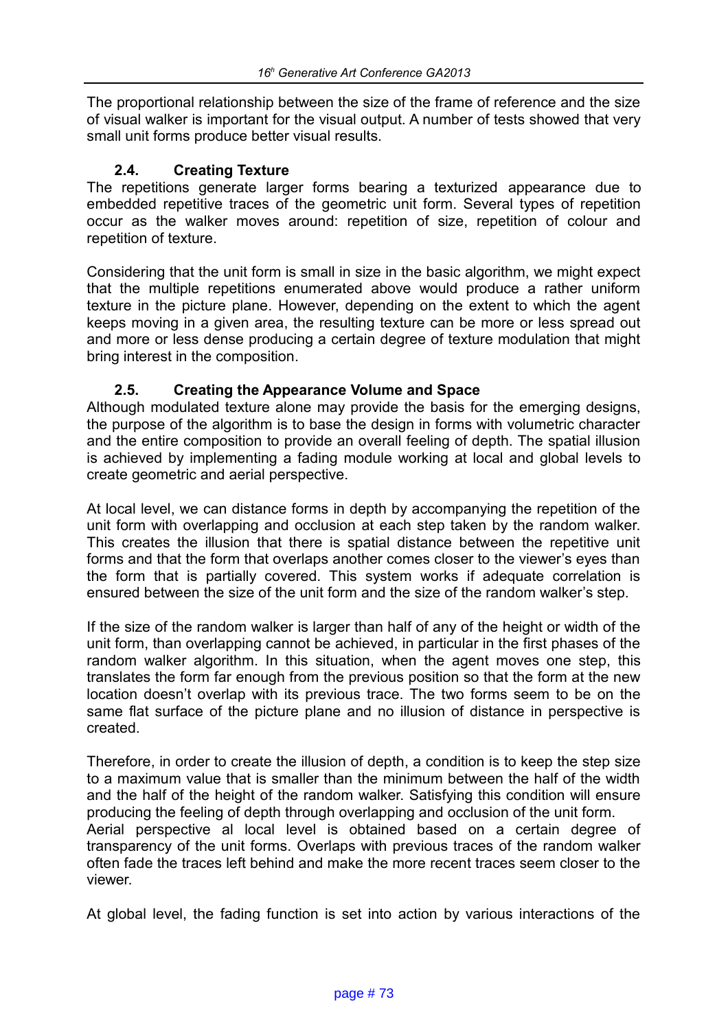The proportional relationship between the size of the frame of reference and the size of visual walker is important for the visual output. A number of tests showed that very small unit forms produce better visual results.

## **2.4. Creating Texture**

The repetitions generate larger forms bearing a texturized appearance due to embedded repetitive traces of the geometric unit form. Several types of repetition occur as the walker moves around: repetition of size, repetition of colour and repetition of texture.

Considering that the unit form is small in size in the basic algorithm, we might expect that the multiple repetitions enumerated above would produce a rather uniform texture in the picture plane. However, depending on the extent to which the agent keeps moving in a given area, the resulting texture can be more or less spread out and more or less dense producing a certain degree of texture modulation that might bring interest in the composition.

# **2.5. Creating the Appearance Volume and Space**

Although modulated texture alone may provide the basis for the emerging designs, the purpose of the algorithm is to base the design in forms with volumetric character and the entire composition to provide an overall feeling of depth. The spatial illusion is achieved by implementing a fading module working at local and global levels to create geometric and aerial perspective.

At local level, we can distance forms in depth by accompanying the repetition of the unit form with overlapping and occlusion at each step taken by the random walker. This creates the illusion that there is spatial distance between the repetitive unit forms and that the form that overlaps another comes closer to the viewer's eyes than the form that is partially covered. This system works if adequate correlation is ensured between the size of the unit form and the size of the random walker's step.

If the size of the random walker is larger than half of any of the height or width of the unit form, than overlapping cannot be achieved, in particular in the first phases of the random walker algorithm. In this situation, when the agent moves one step, this translates the form far enough from the previous position so that the form at the new location doesn't overlap with its previous trace. The two forms seem to be on the same flat surface of the picture plane and no illusion of distance in perspective is created.

Therefore, in order to create the illusion of depth, a condition is to keep the step size to a maximum value that is smaller than the minimum between the half of the width and the half of the height of the random walker. Satisfying this condition will ensure producing the feeling of depth through overlapping and occlusion of the unit form. Aerial perspective al local level is obtained based on a certain degree of transparency of the unit forms. Overlaps with previous traces of the random walker often fade the traces left behind and make the more recent traces seem closer to the viewer.

At global level, the fading function is set into action by various interactions of the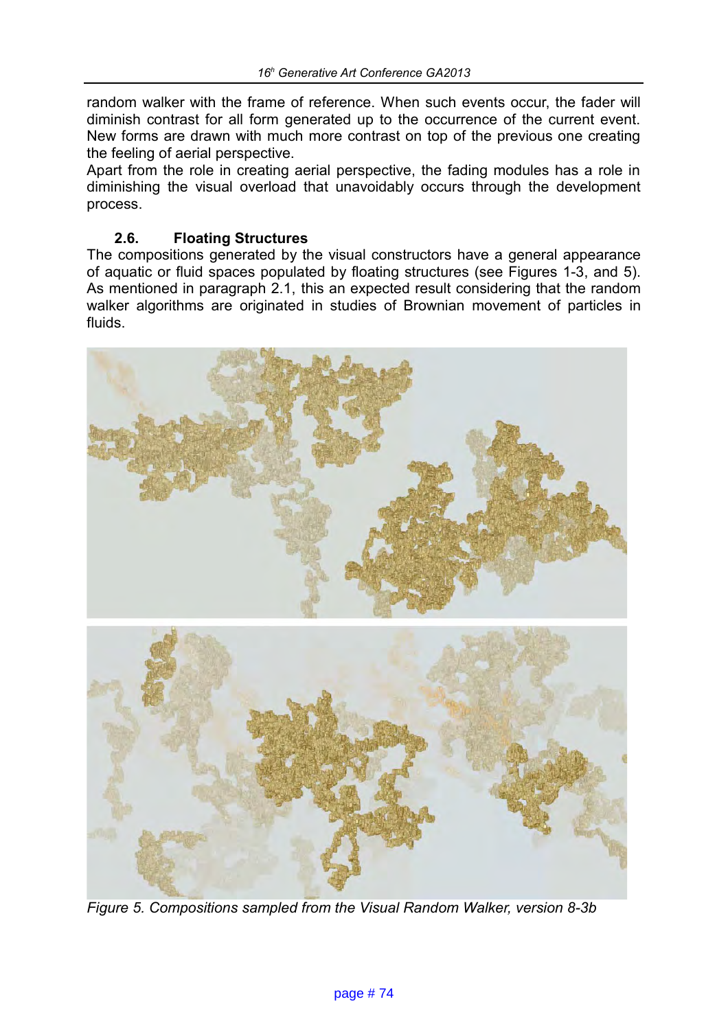random walker with the frame of reference. When such events occur, the fader will diminish contrast for all form generated up to the occurrence of the current event. New forms are drawn with much more contrast on top of the previous one creating the feeling of aerial perspective.

Apart from the role in creating aerial perspective, the fading modules has a role in diminishing the visual overload that unavoidably occurs through the development process.

# **2.6. Floating Structures**

The compositions generated by the visual constructors have a general appearance of aquatic or fluid spaces populated by floating structures (see Figures 1-3, and 5). As mentioned in paragraph 2.1, this an expected result considering that the random walker algorithms are originated in studies of Brownian movement of particles in fluids.





*Figure 5. Compositions sampled from the Visual Random Walker, version 8-3b*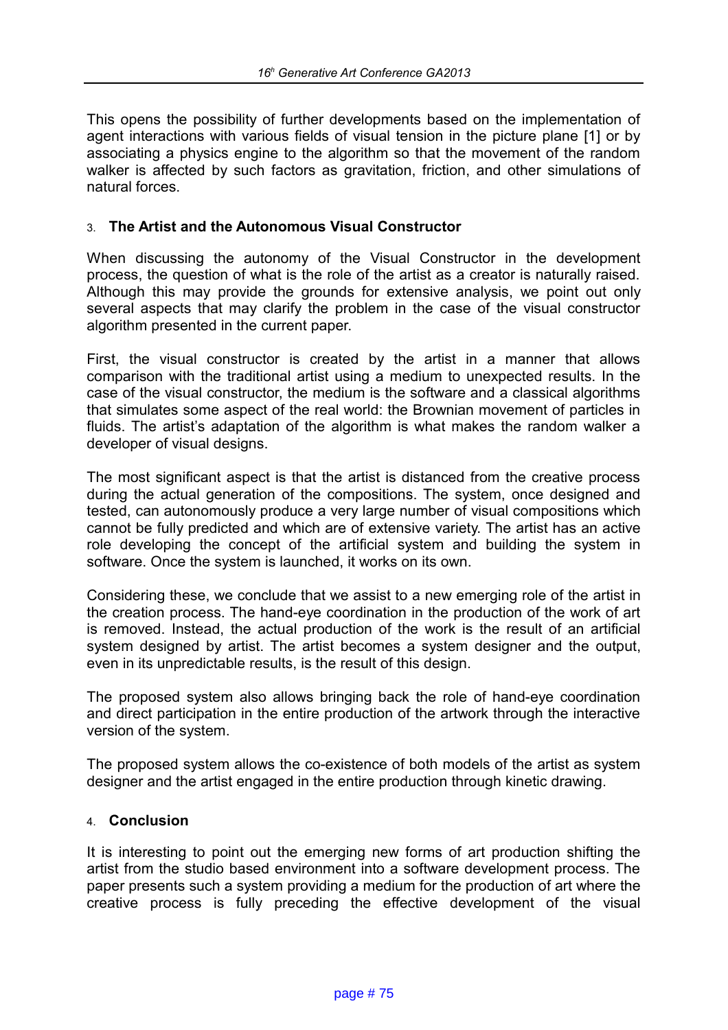This opens the possibility of further developments based on the implementation of agent interactions with various fields of visual tension in the picture plane [1] or by associating a physics engine to the algorithm so that the movement of the random walker is affected by such factors as gravitation, friction, and other simulations of natural forces.

## 3. **The Artist and the Autonomous Visual Constructor**

When discussing the autonomy of the Visual Constructor in the development process, the question of what is the role of the artist as a creator is naturally raised. Although this may provide the grounds for extensive analysis, we point out only several aspects that may clarify the problem in the case of the visual constructor algorithm presented in the current paper.

First, the visual constructor is created by the artist in a manner that allows comparison with the traditional artist using a medium to unexpected results. In the case of the visual constructor, the medium is the software and a classical algorithms that simulates some aspect of the real world: the Brownian movement of particles in fluids. The artist's adaptation of the algorithm is what makes the random walker a developer of visual designs.

The most significant aspect is that the artist is distanced from the creative process during the actual generation of the compositions. The system, once designed and tested, can autonomously produce a very large number of visual compositions which cannot be fully predicted and which are of extensive variety. The artist has an active role developing the concept of the artificial system and building the system in software. Once the system is launched, it works on its own.

Considering these, we conclude that we assist to a new emerging role of the artist in the creation process. The hand-eye coordination in the production of the work of art is removed. Instead, the actual production of the work is the result of an artificial system designed by artist. The artist becomes a system designer and the output, even in its unpredictable results, is the result of this design.

The proposed system also allows bringing back the role of hand-eye coordination and direct participation in the entire production of the artwork through the interactive version of the system.

The proposed system allows the co-existence of both models of the artist as system designer and the artist engaged in the entire production through kinetic drawing.

#### 4. **Conclusion**

It is interesting to point out the emerging new forms of art production shifting the artist from the studio based environment into a software development process. The paper presents such a system providing a medium for the production of art where the creative process is fully preceding the effective development of the visual